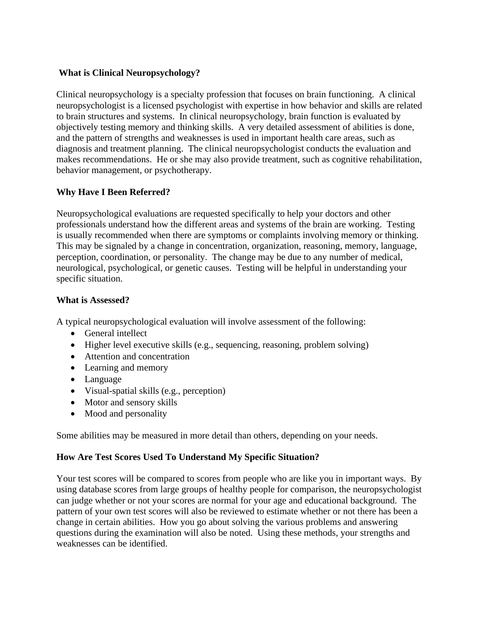# **What is Clinical Neuropsychology?**

Clinical neuropsychology is a specialty profession that focuses on brain functioning. A clinical neuropsychologist is a licensed psychologist with expertise in how behavior and skills are related to brain structures and systems. In clinical neuropsychology, brain function is evaluated by objectively testing memory and thinking skills. A very detailed assessment of abilities is done, and the pattern of strengths and weaknesses is used in important health care areas, such as diagnosis and treatment planning. The clinical neuropsychologist conducts the evaluation and makes recommendations. He or she may also provide treatment, such as cognitive rehabilitation, behavior management, or psychotherapy.

# **Why Have I Been Referred?**

Neuropsychological evaluations are requested specifically to help your doctors and other professionals understand how the different areas and systems of the brain are working. Testing is usually recommended when there are symptoms or complaints involving memory or thinking. This may be signaled by a change in concentration, organization, reasoning, memory, language, perception, coordination, or personality. The change may be due to any number of medical, neurological, psychological, or genetic causes. Testing will be helpful in understanding your specific situation.

### **What is Assessed?**

A typical neuropsychological evaluation will involve assessment of the following:

- General intellect
- Higher level executive skills (e.g., sequencing, reasoning, problem solving)
- Attention and concentration
- Learning and memory
- Language
- Visual-spatial skills (e.g., perception)
- Motor and sensory skills
- Mood and personality

Some abilities may be measured in more detail than others, depending on your needs.

# **How Are Test Scores Used To Understand My Specific Situation?**

Your test scores will be compared to scores from people who are like you in important ways. By using database scores from large groups of healthy people for comparison, the neuropsychologist can judge whether or not your scores are normal for your age and educational background. The pattern of your own test scores will also be reviewed to estimate whether or not there has been a change in certain abilities. How you go about solving the various problems and answering questions during the examination will also be noted. Using these methods, your strengths and weaknesses can be identified.